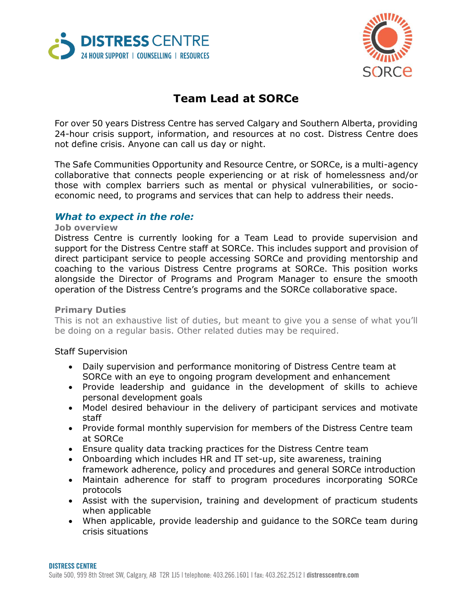



# **Team Lead at SORCe**

For over 50 years Distress Centre has served Calgary and Southern Alberta, providing 24-hour crisis support, information, and resources at no cost. Distress Centre does not define crisis. Anyone can call us day or night.

The Safe Communities Opportunity and Resource Centre, or SORCe, is a multi-agency collaborative that connects people experiencing or at risk of homelessness and/or those with complex barriers such as mental or physical vulnerabilities, or socioeconomic need, to programs and services that can help to address their needs.

## *What to expect in the role:*

#### **Job overview**

Distress Centre is currently looking for a Team Lead to provide supervision and support for the Distress Centre staff at SORCe. This includes support and provision of direct participant service to people accessing SORCe and providing mentorship and coaching to the various Distress Centre programs at SORCe. This position works alongside the Director of Programs and Program Manager to ensure the smooth operation of the Distress Centre's programs and the SORCe collaborative space.

#### **Primary Duties**

This is not an exhaustive list of duties, but meant to give you a sense of what you'll be doing on a regular basis. Other related duties may be required.

#### Staff Supervision

- Daily supervision and performance monitoring of Distress Centre team at SORCe with an eye to ongoing program development and enhancement
- Provide leadership and guidance in the development of skills to achieve personal development goals
- Model desired behaviour in the delivery of participant services and motivate staff
- Provide formal monthly supervision for members of the Distress Centre team at SORCe
- Ensure quality data tracking practices for the Distress Centre team
- Onboarding which includes HR and IT set-up, site awareness, training framework adherence, policy and procedures and general SORCe introduction
- Maintain adherence for staff to program procedures incorporating SORCe protocols
- Assist with the supervision, training and development of practicum students when applicable
- When applicable, provide leadership and guidance to the SORCe team during crisis situations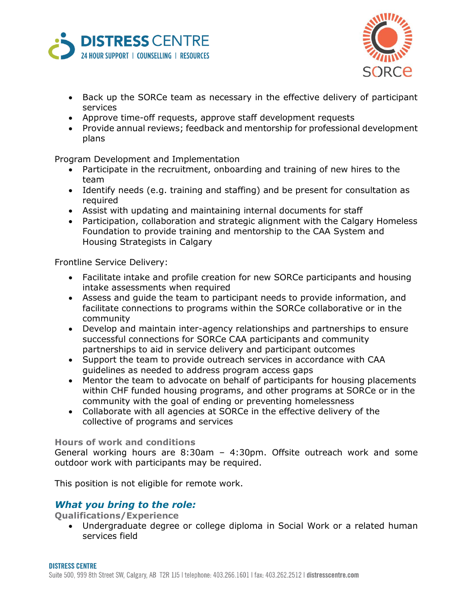



- Back up the SORCe team as necessary in the effective delivery of participant services
- Approve time-off requests, approve staff development requests
- Provide annual reviews; feedback and mentorship for professional development plans

Program Development and Implementation

- Participate in the recruitment, onboarding and training of new hires to the team
- Identify needs (e.g. training and staffing) and be present for consultation as required
- Assist with updating and maintaining internal documents for staff
- Participation, collaboration and strategic alignment with the Calgary Homeless Foundation to provide training and mentorship to the CAA System and Housing Strategists in Calgary

Frontline Service Delivery:

- Facilitate intake and profile creation for new SORCe participants and housing intake assessments when required
- Assess and guide the team to participant needs to provide information, and facilitate connections to programs within the SORCe collaborative or in the community
- Develop and maintain inter-agency relationships and partnerships to ensure successful connections for SORCe CAA participants and community partnerships to aid in service delivery and participant outcomes
- Support the team to provide outreach services in accordance with CAA guidelines as needed to address program access gaps
- Mentor the team to advocate on behalf of participants for housing placements within CHF funded housing programs, and other programs at SORCe or in the community with the goal of ending or preventing homelessness
- Collaborate with all agencies at SORCe in the effective delivery of the collective of programs and services

**Hours of work and conditions**

General working hours are 8:30am – 4:30pm. Offsite outreach work and some outdoor work with participants may be required.

This position is not eligible for remote work.

## *What you bring to the role:*

**Qualifications/Experience**

 Undergraduate degree or college diploma in Social Work or a related human services field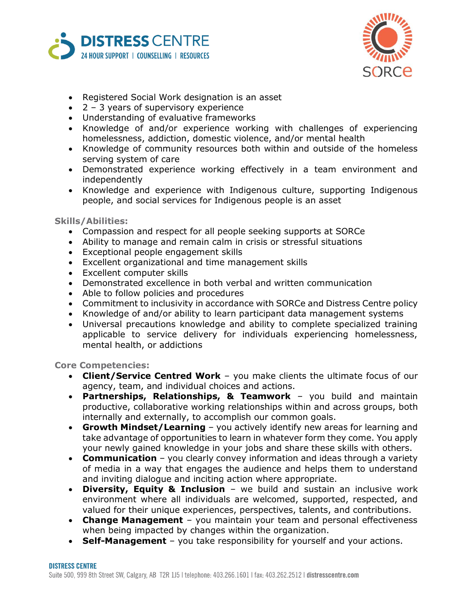



- Registered Social Work designation is an asset
- $\bullet$  2 3 years of supervisory experience
- Understanding of evaluative frameworks
- Knowledge of and/or experience working with challenges of experiencing homelessness, addiction, domestic violence, and/or mental health
- Knowledge of community resources both within and outside of the homeless serving system of care
- Demonstrated experience working effectively in a team environment and independently
- Knowledge and experience with Indigenous culture, supporting Indigenous people, and social services for Indigenous people is an asset

#### **Skills/Abilities:**

- Compassion and respect for all people seeking supports at SORCe
- Ability to manage and remain calm in crisis or stressful situations
- Exceptional people engagement skills
- Excellent organizational and time management skills
- Excellent computer skills
- Demonstrated excellence in both verbal and written communication
- Able to follow policies and procedures
- Commitment to inclusivity in accordance with SORCe and Distress Centre policy
- Knowledge of and/or ability to learn participant data management systems
- Universal precautions knowledge and ability to complete specialized training applicable to service delivery for individuals experiencing homelessness, mental health, or addictions

#### **Core Competencies:**

- **Client/Service Centred Work** you make clients the ultimate focus of our agency, team, and individual choices and actions.
- **Partnerships, Relationships, & Teamwork** you build and maintain productive, collaborative working relationships within and across groups, both internally and externally, to accomplish our common goals.
- **Growth Mindset/Learning** you actively identify new areas for learning and take advantage of opportunities to learn in whatever form they come. You apply your newly gained knowledge in your jobs and share these skills with others.
- **Communication** you clearly convey information and ideas through a variety of media in a way that engages the audience and helps them to understand and inviting dialogue and inciting action where appropriate.
- **Diversity, Equity & Inclusion** we build and sustain an inclusive work environment where all individuals are welcomed, supported, respected, and valued for their unique experiences, perspectives, talents, and contributions.
- **Change Management** you maintain your team and personal effectiveness when being impacted by changes within the organization.
- **Self-Management** you take responsibility for yourself and your actions.

#### **DISTRESS CENTRE**

Suite 500, 999 8th Street SW, Calgary, AB T2R 1J5 | telephone: 403.266.1601 | fax: 403.262.2512 | distresscentre.com